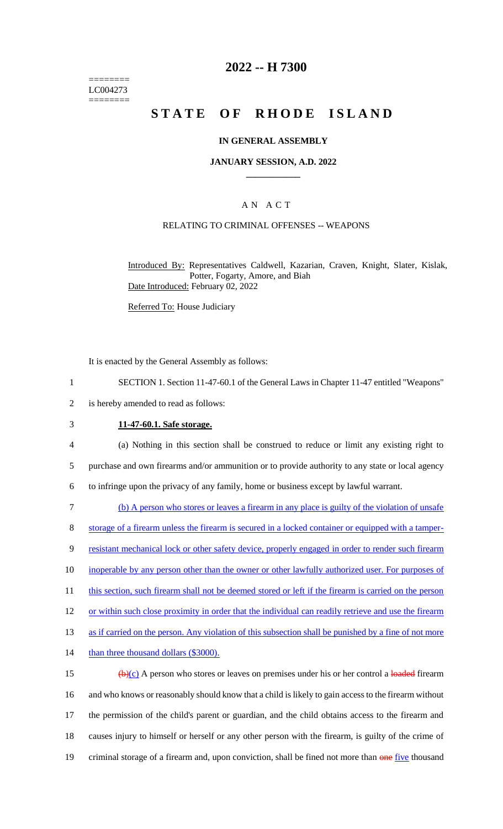======== LC004273 ========

### **2022 -- H 7300**

# **STATE OF RHODE ISLAND**

### **IN GENERAL ASSEMBLY**

#### **JANUARY SESSION, A.D. 2022 \_\_\_\_\_\_\_\_\_\_\_\_**

### A N A C T

### RELATING TO CRIMINAL OFFENSES -- WEAPONS

Introduced By: Representatives Caldwell, Kazarian, Craven, Knight, Slater, Kislak, Potter, Fogarty, Amore, and Biah Date Introduced: February 02, 2022

Referred To: House Judiciary

It is enacted by the General Assembly as follows:

- 1 SECTION 1. Section 11-47-60.1 of the General Laws in Chapter 11-47 entitled "Weapons"
- 2 is hereby amended to read as follows:
- 3 **11-47-60.1. Safe storage.**

4 (a) Nothing in this section shall be construed to reduce or limit any existing right to 5 purchase and own firearms and/or ammunition or to provide authority to any state or local agency 6 to infringe upon the privacy of any family, home or business except by lawful warrant.

7 (b) A person who stores or leaves a firearm in any place is guilty of the violation of unsafe 8 storage of a firearm unless the firearm is secured in a locked container or equipped with a tamper-

9 resistant mechanical lock or other safety device, properly engaged in order to render such firearm

10 inoperable by any person other than the owner or other lawfully authorized user. For purposes of

11 this section, such firearm shall not be deemed stored or left if the firearm is carried on the person

12 or within such close proximity in order that the individual can readily retrieve and use the firearm

13 as if carried on the person. Any violation of this subsection shall be punished by a fine of not more

14 than three thousand dollars (\$3000).

 $\frac{15}{2}$  (b)(c) A person who stores or leaves on premises under his or her control a loaded firearm 16 and who knows or reasonably should know that a child is likely to gain access to the firearm without 17 the permission of the child's parent or guardian, and the child obtains access to the firearm and 18 causes injury to himself or herself or any other person with the firearm, is guilty of the crime of 19 criminal storage of a firearm and, upon conviction, shall be fined not more than one five thousand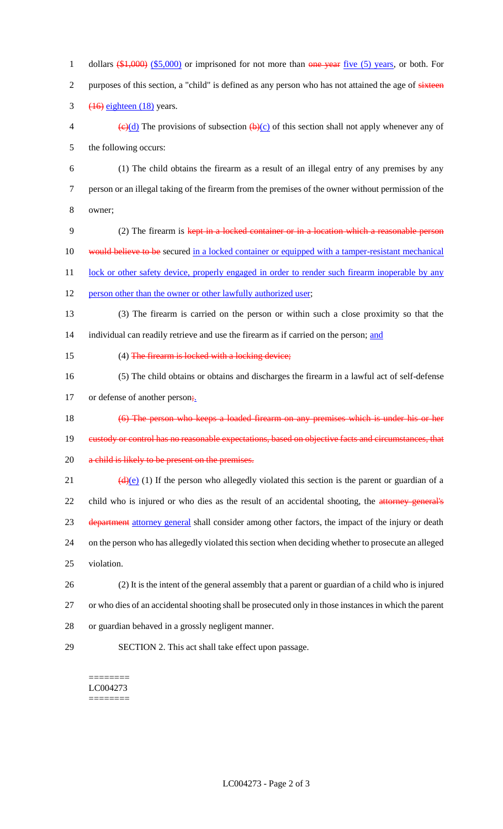1 dollars  $(\$1,000)$   $(\$5,000)$  or imprisoned for not more than one year five (5) years, or both. For 2 purposes of this section, a "child" is defined as any person who has not attained the age of sixteen 3  $(16)$  eighteen  $(18)$  years. 4 (c)(d) The provisions of subsection  $(b)(c)$  of this section shall not apply whenever any of

5 the following occurs:

- 6 (1) The child obtains the firearm as a result of an illegal entry of any premises by any 7 person or an illegal taking of the firearm from the premises of the owner without permission of the 8 owner;
- 9 (2) The firearm is kept in a locked container or in a location which a reasonable person 10 would believe to be secured in a locked container or equipped with a tamper-resistant mechanical 11 lock or other safety device, properly engaged in order to render such firearm inoperable by any
- 12 person other than the owner or other lawfully authorized user;
- 13 (3) The firearm is carried on the person or within such a close proximity so that the 14 individual can readily retrieve and use the firearm as if carried on the person; and
- 15 (4) The firearm is locked with a locking device;
- 16 (5) The child obtains or obtains and discharges the firearm in a lawful act of self-defense

17 or defense of another person<sub>i</sub>.

- 18 (6) The person who keeps a loaded firearm on any premises which is under his or her
- 19 custody or control has no reasonable expectations, based on objective facts and circumstances, that
- 20 a child is likely to be present on the premises.
- 21 (d)(e) (1) If the person who allegedly violated this section is the parent or guardian of a 22 child who is injured or who dies as the result of an accidental shooting, the attorney general's 23 department attorney general shall consider among other factors, the impact of the injury or death 24 on the person who has allegedly violated this section when deciding whether to prosecute an alleged
- 25 violation.
- 26 (2) It is the intent of the general assembly that a parent or guardian of a child who is injured 27 or who dies of an accidental shooting shall be prosecuted only in those instances in which the parent
- 28 or guardian behaved in a grossly negligent manner.
- 

29 SECTION 2. This act shall take effect upon passage.

#### ======== LC004273 ========